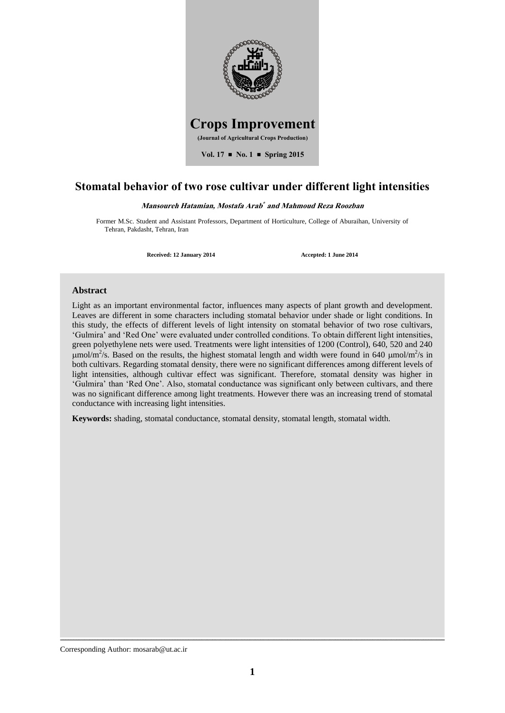

## **Stomatal behavior of two rose cultivar under different light intensities**

#### Mansoureh Hatamian, Mostafa Arab<sup>\*</sup> and Mahmoud Reza Roozban

Former M.Sc. Student and Assistant Professors, Department of Horticulture, College of Aburaihan, University of Tehran, Pakdasht, Tehran, Iran

**Received: 12 January 2014 Accepted: 1 June 2014**

### **Abstract**

Light as an important environmental factor, influences many aspects of plant growth and development. Leaves are different in some characters including stomatal behavior under shade or light conditions. In this study, the effects of different levels of light intensity on stomatal behavior of two rose cultivars, 'Gulmira' and 'Red One' were evaluated under controlled conditions. To obtain different light intensities, green polyethylene nets were used. Treatments were light intensities of 1200 (Control), 640, 520 and 240  $\mu$ mol/m<sup>2</sup>/s. Based on the results, the highest stomatal length and width were found in 640  $\mu$ mol/m<sup>2</sup>/s in both cultivars. Regarding stomatal density, there were no significant differences among different levels of light intensities, although cultivar effect was significant. Therefore, stomatal density was higher in 'Gulmira' than 'Red One'. Also, stomatal conductance was significant only between cultivars, and there was no significant difference among light treatments. However there was an increasing trend of stomatal conductance with increasing light intensities.

**Keywords:** shading, stomatal conductance, stomatal density, stomatal length, stomatal width.

Corresponding Author: mosarab@ut.ac.ir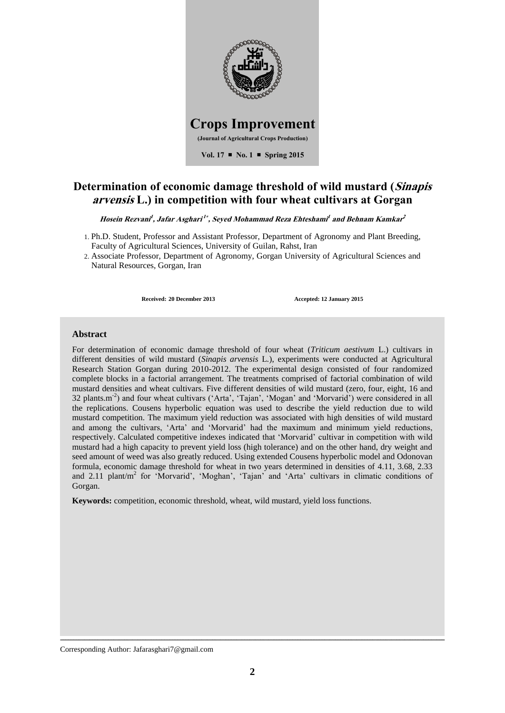

# **Determination of economic damage threshold of wild mustard (Sinapis arvensis L.) in competition with four wheat cultivars at Gorgan**

**Hosein Rezvani 1 , Jafar Asghari 1 , Seyed Mohammad Reza Ehteshami 1 and Behnam Kamkar 2**

- 1. Ph.D. Student, Professor and Assistant Professor, Department of Agronomy and Plant Breeding, Faculty of Agricultural Sciences, University of Guilan, Rahst, Iran
- 2. Associate Professor, Department of Agronomy, Gorgan University of Agricultural Sciences and Natural Resources, Gorgan, Iran

**Received: 20 December 2013 Accepted: 12 January 2015**

## **Abstract**

For determination of economic damage threshold of four wheat (*Triticum aestivum* L.) cultivars in different densities of wild mustard (*Sinapis arvensis* L*.*), experiments were conducted at Agricultural Research Station Gorgan during 2010-2012. The experimental design consisted of four randomized complete blocks in a factorial arrangement. The treatments comprised of factorial combination of wild mustard densities and wheat cultivars. Five different densities of wild mustard (zero, four, eight, 16 and 32 plants.m-2 ) and four wheat cultivars ('Arta', 'Tajan', 'Mogan' and 'Morvarid') were considered in all the replications. Cousens hyperbolic equation was used to describe the yield reduction due to wild mustard competition. The maximum yield reduction was associated with high densities of wild mustard and among the cultivars, 'Arta' and 'Morvarid' had the maximum and minimum yield reductions, respectively. Calculated competitive indexes indicated that 'Morvarid' cultivar in competition with wild mustard had a high capacity to prevent yield loss (high tolerance) and on the other hand, dry weight and seed amount of weed was also greatly reduced. Using extended Cousens hyperbolic model and Odonovan formula, economic damage threshold for wheat in two years determined in densities of 4.11, 3.68, 2.33 and 2.11 plant/m<sup>2</sup> for 'Morvarid', 'Moghan', 'Tajan' and 'Arta' cultivars in climatic conditions of Gorgan.

**Keywords:** competition, economic threshold, wheat, wild mustard, yield loss functions.

Corresponding Author: Jafarasghari7@gmail.com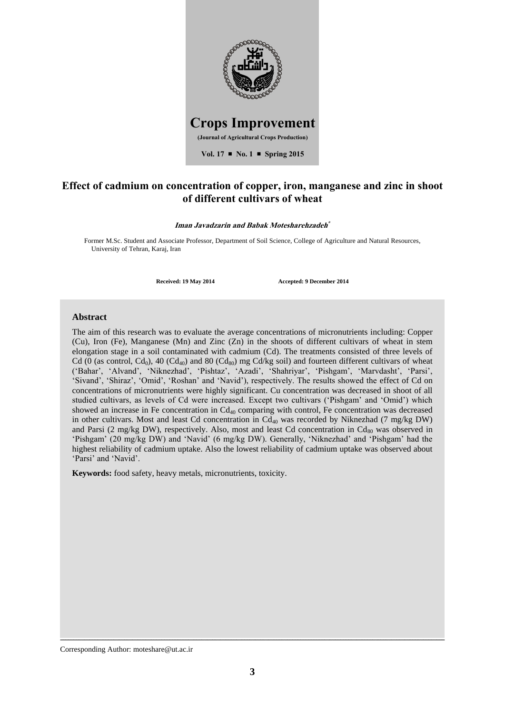

## **Effect of cadmium on concentration of copper, iron, manganese and zinc in shoot of different cultivars of wheat**

#### **Iman Javadzarin and Babak Motesharehzadeh**

Former M.Sc. Student and Associate Professor, Department of Soil Science, College of Agriculture and Natural Resources, University of Tehran, Karaj, Iran

**Received: 19 May 2014 Accepted: 9 December 2014**

### **Abstract**

The aim of this research was to evaluate the average concentrations of micronutrients including: Copper (Cu), Iron (Fe), Manganese (Mn) and Zinc (Zn) in the shoots of different cultivars of wheat in stem elongation stage in a soil contaminated with cadmium (Cd). The treatments consisted of three levels of Cd (0 (as control, Cd<sub>0</sub>), 40 (Cd<sub>40</sub>) and 80 (Cd<sub>80</sub>) mg Cd/kg soil) and fourteen different cultivars of wheat ('Bahar', 'Alvand', 'Niknezhad', 'Pishtaz', 'Azadi', 'Shahriyar', 'Pishgam', 'Marvdasht', 'Parsi', 'Sivand', 'Shiraz', 'Omid', 'Roshan' and 'Navid'), respectively. The results showed the effect of Cd on concentrations of micronutrients were highly significant. Cu concentration was decreased in shoot of all studied cultivars, as levels of Cd were increased. Except two cultivars ('Pishgam' and 'Omid') which showed an increase in Fe concentration in Cd<sub>40</sub> comparing with control, Fe concentration was decreased in other cultivars. Most and least Cd concentration in  $Cd_{40}$  was recorded by Niknezhad (7 mg/kg DW) and Parsi (2 mg/kg DW), respectively. Also, most and least Cd concentration in  $Cd_{80}$  was observed in 'Pishgam' (20 mg/kg DW) and 'Navid' (6 mg/kg DW). Generally, 'Niknezhad' and 'Pishgam' had the highest reliability of cadmium uptake. Also the lowest reliability of cadmium uptake was observed about 'Parsi' and 'Navid'.

**Keywords:** food safety, heavy metals, micronutrients, toxicity.

Corresponding Author: moteshare@ut.ac.ir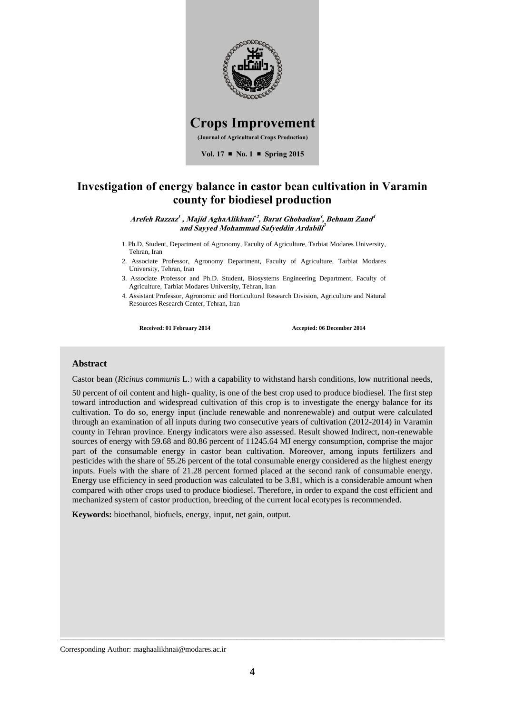

## **Investigation of energy balance in castor bean cultivation in Varamin county for biodiesel production**

**Arefeh Razzaz 1 , Majid AghaAlikhani 2 , Barat Ghobadian 3 , Behnam Zand 4 and Sayyed Mohammad Safyeddin Ardabili 3**

- 1. Ph.D. Student, Department of Agronomy, Faculty of Agriculture, Tarbiat Modares University, Tehran, Iran
- 2. Associate Professor, Agronomy Department, Faculty of Agriculture, Tarbiat Modares University, Tehran, Iran
- 3. Associate Professor and Ph.D. Student, Biosystems Engineering Department, Faculty of Agriculture, Tarbiat Modares University, Tehran, Iran
- 4. Assistant Professor, Agronomic and Horticultural Research Division, Agriculture and Natural Resources Research Center, Tehran, Iran

**Received: 01 February 2014 Accepted: 06 December 2014**

## **Abstract**

Castor bean (*Ricinus communis* L.) with a capability to withstand harsh conditions, low nutritional needs,

50 percent of oil content and high- quality, is one of the best crop used to produce biodiesel. The first step toward introduction and widespread cultivation of this crop is to investigate the energy balance for its cultivation. To do so, energy input (include renewable and nonrenewable) and output were calculated through an examination of all inputs during two consecutive years of cultivation (2012-2014) in Varamin county in Tehran province. Energy indicators were also assessed. Result showed Indirect, non-renewable sources of energy with 59.68 and 80.86 percent of 11245.64 MJ energy consumption, comprise the major part of the consumable energy in castor bean cultivation. Moreover, among inputs fertilizers and pesticides with the share of 55.26 percent of the total consumable energy considered as the highest energy inputs. Fuels with the share of 21.28 percent formed placed at the second rank of consumable energy. Energy use efficiency in seed production was calculated to be 3.81, which is a considerable amount when compared with other crops used to produce biodiesel. Therefore, in order to expand the cost efficient and mechanized system of castor production, breeding of the current local ecotypes is recommended.

**Keywords:** bioethanol, biofuels, energy, input, net gain, output.

Corresponding Author: maghaalikhnai@modares.ac.ir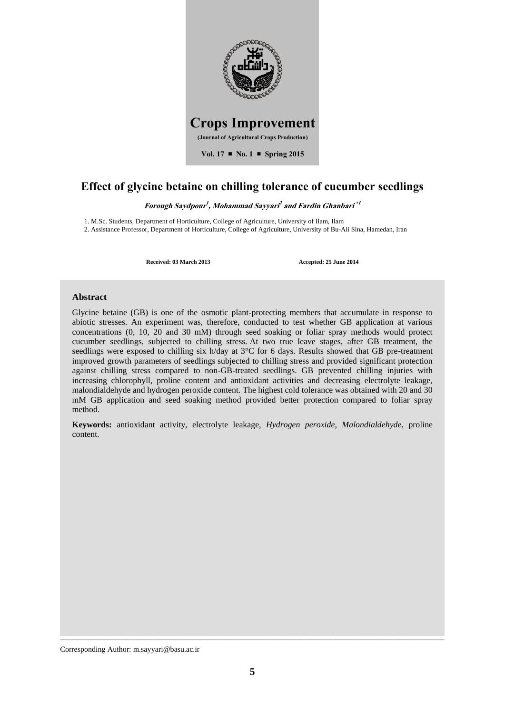

# **Effect of glycine betaine on chilling tolerance of cucumber seedlings**

**Forough Saydpour 1 , Mohammad Sayyari 2 and Fardin Ghanbari 1**

1. M.Sc. Students, Department of Horticulture, College of Agriculture, University of Ilam, Ilam

2. Assistance Professor, Department of Horticulture, College of Agriculture, University of Bu-Ali Sina, Hamedan, Iran

**Received: 03 March 2013 Accepted: 25 June 2014**

### **Abstract**

Glycine betaine (GB) is one of the osmotic plant-protecting members that accumulate in response to abiotic stresses. An experiment was, therefore, conducted to test whether GB application at various concentrations (0, 10, 20 and 30 mM) through seed soaking or foliar spray methods would protect cucumber seedlings, subjected to chilling stress. At two true leave stages, after GB treatment, the seedlings were exposed to chilling six h/day at 3<sup>o</sup>C for 6 days. Results showed that GB pre-treatment improved growth parameters of seedlings subjected to chilling stress and provided significant protection against chilling stress compared to non-GB-treated seedlings. GB prevented chilling injuries with increasing chlorophyll, proline content and antioxidant activities and decreasing electrolyte leakage, malondialdehyde and hydrogen peroxide content. The highest cold tolerance was obtained with 20 and 30 mM GB application and seed soaking method provided better protection compared to foliar spray method.

**Keywords:** antioxidant activity, electrolyte leakage, *Hydrogen peroxide*, *Malondialdehyde*, proline content.

Corresponding Author: m.sayyari@basu.ac.ir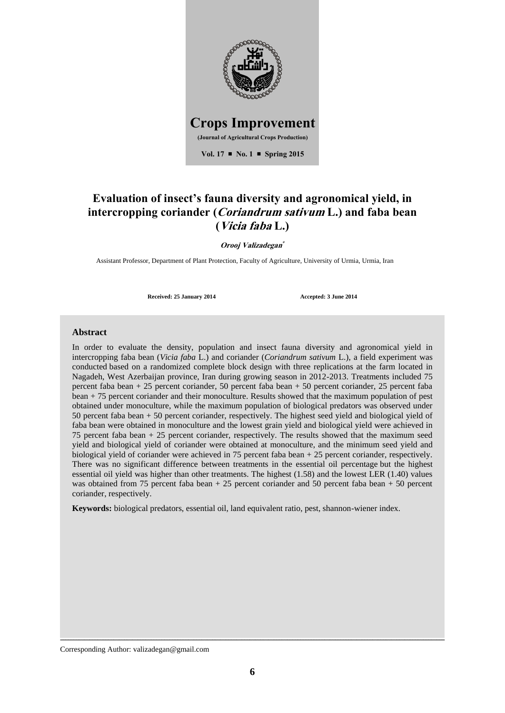

# **Evaluation of insect's fauna diversity and agronomical yield, in intercropping coriander (Coriandrum sativum L.) and faba bean (Vicia faba L.)**

**Orooj Valizadegan**

Assistant Professor, Department of Plant Protection, Faculty of Agriculture, University of Urmia, Urmia, Iran

**Received: 25 January 2014 Accepted: 3 June 2014**

### **Abstract**

In order to evaluate the density, population and insect fauna diversity and agronomical yield in intercropping faba bean (*Vicia faba* L.) and coriander (*Coriandrum sativum* L.), a field experiment was conducted based on a randomized complete block design with three replications at the farm located in Nagadeh, West Azerbaijan province, Iran during growing season in 2012-2013. Treatments included 75 percent faba bean + 25 percent coriander, 50 percent faba bean + 50 percent coriander, 25 percent faba bean + 75 percent coriander and their monoculture. Results showed that the maximum population of pest obtained under monoculture, while the maximum population of biological predators was observed under 50 percent faba bean + 50 percent coriander, respectively. The highest seed yield and biological yield of faba bean were obtained in monoculture and the lowest grain yield and biological yield were achieved in 75 percent faba bean + 25 percent coriander, respectively. The results showed that the maximum seed yield and biological yield of coriander were obtained at monoculture, and the minimum seed yield and biological yield of coriander were achieved in 75 percent faba bean + 25 percent coriander, respectively. There was no significant difference between treatments in the essential oil percentage but the highest essential oil yield was higher than other treatments. The highest (1.58) and the lowest LER (1.40) values was obtained from 75 percent faba bean + 25 percent coriander and 50 percent faba bean + 50 percent coriander, respectively.

**Keywords:** biological predators, essential oil, land equivalent ratio, pest, shannon-wiener index.

Corresponding Author: valizadegan@gmail.com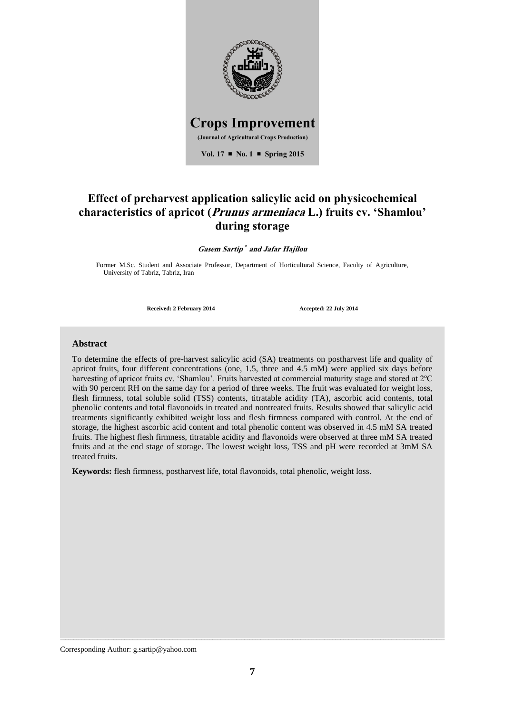

# **Effect of preharvest application salicylic acid on physicochemical characteristics of apricot (Prunus armeniaca L.) fruits cv. 'Shamlou' during storage**

Gasem Sartip<sup>\*</sup> and Jafar Hajilou

Former M.Sc. Student and Associate Professor, Department of Horticultural Science, Faculty of Agriculture, University of Tabriz, Tabriz, Iran

**Received: 2 February 2014 Accepted: 22 July 2014**

### **Abstract**

To determine the effects of pre-harvest salicylic acid (SA) treatments on postharvest life and quality of apricot fruits, four different concentrations (one, 1.5, three and 4.5 mM) were applied six days before harvesting of apricot fruits cv. 'Shamlou'. Fruits harvested at commercial maturity stage and stored at 2ºC with 90 percent RH on the same day for a period of three weeks. The fruit was evaluated for weight loss, flesh firmness, total soluble solid (TSS) contents, titratable acidity (TA), ascorbic acid contents, total phenolic contents and total flavonoids in treated and nontreated fruits. Results showed that salicylic acid treatments significantly exhibited weight loss and flesh firmness compared with control. At the end of storage, the highest ascorbic acid content and total phenolic content was observed in 4.5 mM SA treated fruits. The highest flesh firmness, titratable acidity and flavonoids were observed at three mM SA treated fruits and at the end stage of storage. The lowest weight loss, TSS and pH were recorded at 3mM SA treated fruits.

**Keywords:** flesh firmness, postharvest life, total flavonoids, total phenolic, weight loss.

Corresponding Author: g.sartip@yahoo.com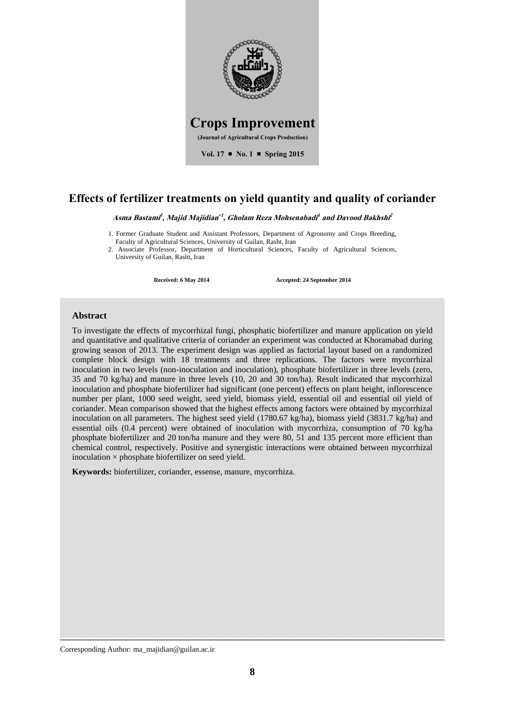

## **Effects of fertilizer treatments on yield quantity and quality of coriander**

**Asma Bastami 1 , Majid Majidian 1 , Gholam Reza Mohsenabadi 1 and Davood Bakhshi 2**

1. Former Graduate Student and Assistant Professors, Department of Agronomy and Crops Breeding, Faculty of Agricultural Sciences, University of Guilan, Rasht, Iran

2. Associate Professor, Department of Horticultural Sciences, Faculty of Agricultural Sciences, University of Guilan, Rasht, Iran

**Received: 6 May 2014 Accepted: 24 September 2014**

## **Abstract**

To investigate the effects of mycorrhizal fungi, phosphatic biofertilizer and manure application on yield and quantitative and qualitative criteria of coriander an experiment was conducted at Khoramabad during growing season of 2013. The experiment design was applied as factorial layout based on a randomized complete block design with 18 treatments and three replications. The factors were mycorrhizal inoculation in two levels (non-inoculation and inoculation), phosphate biofertilizer in three levels (zero, 35 and 70 kg/ha) and manure in three levels (10, 20 and 30 ton/ha). Result indicated that mycorrhizal inoculation and phosphate biofertilizer had significant (one percent) effects on plant height, inflorescence number per plant, 1000 seed weight, seed yield, biomass yield, essential oil and essential oil yield of coriander. Mean comparison showed that the highest effects among factors were obtained by mycorrhizal inoculation on all parameters. The highest seed yield  $(1780.67 \text{ kg/ha})$ , biomass yield  $(3831.7 \text{ kg/ha})$  and essential oils (0.4 percent) were obtained of inoculation with mycorrhiza, consumption of 70 kg/ha phosphate biofertilizer and 20 ton/ha manure and they were 80, 51 and 135 percent more efficient than chemical control, respectively. Positive and synergistic interactions were obtained between mycorrhizal inoculation  $\times$  phosphate biofertilizer on seed yield.

**Keywords:** biofertilizer, coriander, essense, manure, mycorrhiza.

Corresponding Author: ma\_majidian@guilan.ac.ir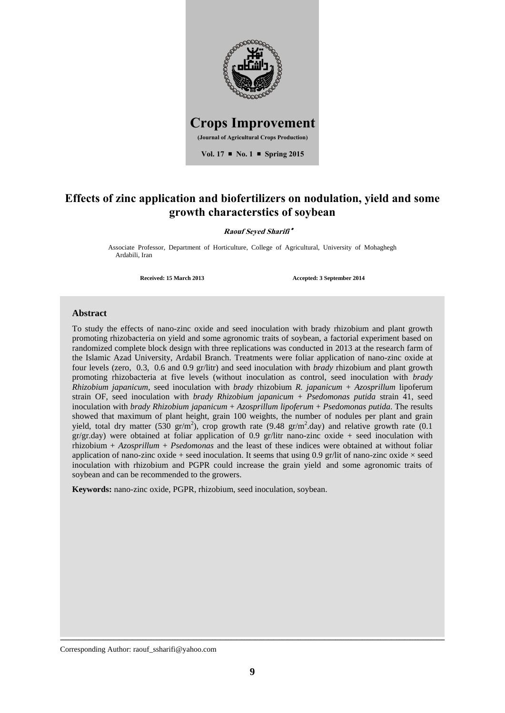

## **Effects of zinc application and biofertilizers on nodulation, yield and some growth characterstics of soybean**

#### **Raouf Seyed Sharifi**

Associate Professor, Department of Horticulture, College of Agricultural, University of Mohaghegh Ardabili, Iran

**Received: 15 March 2013 Accepted: 3 September 2014**

### **Abstract**

To study the effects of nano-zinc oxide and seed inoculation with brady rhizobium and plant growth promoting rhizobacteria on yield and some agronomic traits of soybean, a factorial experiment based on randomized complete block design with three replications was conducted in 2013 at the research farm of the Islamic Azad University, Ardabil Branch. Treatments were foliar application of nano-zinc oxide at four levels (zero, 0.3, 0.6 and 0.9 gr/litr) and seed inoculation with *brady* rhizobium and plant growth promoting rhizobacteria at five levels (without inoculation as control, seed inoculation with *brady Rhizobium japanicum*, seed inoculation with *brady* rhizobium *R. japanicum* + *Azosprillum* lipoferum strain OF, seed inoculation with *brady Rhizobium japanicum* + *Psedomonas putida* strain 41, seed inoculation with *brady Rhizobium japanicum* + *Azosprillum lipoferum* + *Psedomonas putida*. The results showed that maximum of plant height, grain 100 weights, the number of nodules per plant and grain yield, total dry matter (530 gr/m<sup>2</sup>), crop growth rate (9.48 gr/m<sup>2</sup>.day) and relative growth rate (0.1  $gr/gr.day$ ) were obtained at foliar application of 0.9 gr/litr nano-zinc oxide + seed inoculation with rhizobium + *Azosprillum* + *Psedomonas* and the least of these indices were obtained at without foliar application of nano-zinc oxide + seed inoculation. It seems that using 0.9 gr/lit of nano-zinc oxide  $\times$  seed inoculation with rhizobium and PGPR could increase the grain yield and some agronomic traits of soybean and can be recommended to the growers.

**Keywords:** nano-zinc oxide, PGPR, rhizobium, seed inoculation, soybean.

Corresponding Author: raouf\_ssharifi@yahoo.com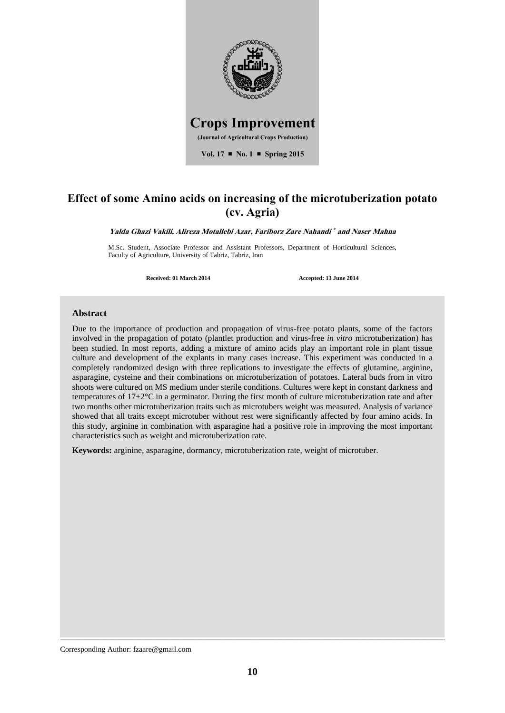

# **Effect of some Amino acids on increasing of the microtuberization potato (cv. Agria)**

**Yalda Ghazi Vakili, Alireza Motallebi Azar, Fariborz Zare Nahandi and Naser Mahna**

M.Sc. Student, Associate Professor and Assistant Professors, Department of Horticultural Sciences, Faculty of Agriculture, University of Tabriz, Tabriz, Iran

**Received: 01 March 2014 Accepted: 13 June 2014**

#### **Abstract**

Due to the importance of production and propagation of virus-free potato plants, some of the factors involved in the propagation of potato (plantlet production and virus-free *in vitro* microtuberization) has been studied. In most reports, adding a mixture of amino acids play an important role in plant tissue culture and development of the explants in many cases increase. This experiment was conducted in a completely randomized design with three replications to investigate the effects of glutamine, arginine, asparagine, cysteine and their combinations on microtuberization of potatoes. Lateral buds from in vitro shoots were cultured on MS medium under sterile conditions. Cultures were kept in constant darkness and temperatures of 17±2°C in a germinator. During the first month of culture microtuberization rate and after two months other microtuberization traits such as microtubers weight was measured. Analysis of variance showed that all traits except microtuber without rest were significantly affected by four amino acids. In this study, arginine in combination with asparagine had a positive role in improving the most important characteristics such as weight and microtuberization rate.

**Keywords:** arginine, asparagine, dormancy, microtuberization rate, weight of microtuber.

Corresponding Author: fzaare@gmail.com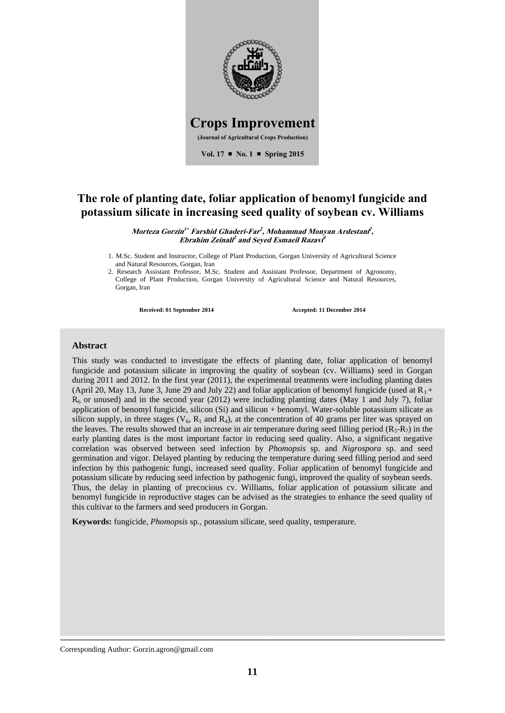

## **The role of planting date, foliar application of benomyl fungicide and potassium silicate in increasing seed quality of soybean cv. Williams**

**Morteza Gorzin <sup>1</sup> Farshid Ghaderi-Far 2 , Mohammad Monyan Ardestani 2 , Ebrahim Zeinali 2 and Seyed Esmaeil Razavi 1**

1. M.Sc. Student and Instructor, College of Plant Production, Gorgan University of Agricultural Science and Natural Resources, Gorgan, Iran

**Received: 01 September 2014 Accepted: 11 December 2014**

### **Abstract**

This study was conducted to investigate the effects of planting date, foliar application of benomyl fungicide and potassium silicate in improving the quality of soybean (cv. Williams) seed in Gorgan during 2011 and 2012. In the first year (2011), the experimental treatments were including planting dates (April 20, May 13, June 3, June 29 and July 22) and foliar application of benomyl fungicide (used at  $R_3$  +  $R<sub>6</sub>$  or unused) and in the second year (2012) were including planting dates (May 1 and July 7), foliar application of benomyl fungicide, silicon (Si) and silicon + benomyl. Water-soluble potassium silicate as silicon supply, in three stages ( $V_6$ ,  $R_1$  and  $R_4$ ), at the concentration of 40 grams per liter was sprayed on the leaves. The results showed that an increase in air temperature during seed filling period  $(R_5-R_7)$  in the early planting dates is the most important factor in reducing seed quality. Also, a significant negative correlation was observed between seed infection by *Phomopsis* sp. and *Nigrospora* sp. and seed germination and vigor. Delayed planting by reducing the temperature during seed filling period and seed infection by this pathogenic fungi, increased seed quality. Foliar application of benomyl fungicide and potassium silicate by reducing seed infection by pathogenic fungi, improved the quality of soybean seeds. Thus, the delay in planting of precocious cv. Williams, foliar application of potassium silicate and benomyl fungicide in reproductive stages can be advised as the strategies to enhance the seed quality of this cultivar to the farmers and seed producers in Gorgan.

**Keywords:** fungicide, *Phomopsis* sp., potassium silicate, seed quality, temperature.

Corresponding Author: Gorzin.agron@gmail.com

<sup>2.</sup> Research Assistant Professor, M.Sc. Student and Assistant Professor, Department of Agronomy, College of Plant Production, Gorgan University of Agricultural Science and Natural Resources, Gorgan, Iran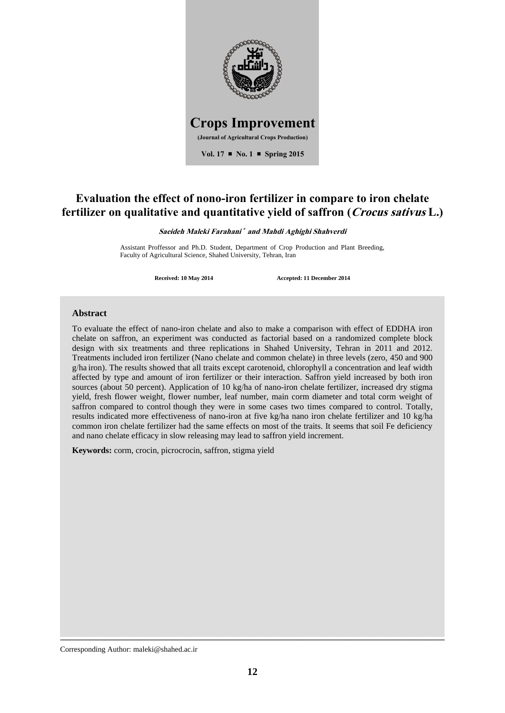

# **Evaluation the effect of nono-iron fertilizer in compare to iron chelate fertilizer on qualitative and quantitative yield of saffron (Crocus sativus L.)**

**Saeideh Maleki Farahani and Mahdi Aghighi Shahverdi**

Assistant Proffessor and Ph.D. Student, Department of Crop Production and Plant Breeding, Faculty of Agricultural Science, Shahed University, Tehran, Iran

**Received: 10 May 2014 Accepted: 11 December 2014**

#### **Abstract**

To evaluate the effect of nano-iron chelate and also to make a comparison with effect of EDDHA iron chelate on saffron, an experiment was conducted as factorial based on a randomized complete block design with six treatments and three replications in Shahed University, Tehran in 2011 and 2012. Treatments included iron fertilizer (Nano chelate and common chelate) in three levels (zero, 450 and 900 g/ha iron). The results showed that all traits except carotenoid, chlorophyll a concentration and leaf width affected by type and amount of iron fertilizer or their interaction. Saffron yield increased by both iron sources (about 50 percent). Application of 10 kg/ha of nano-iron chelate fertilizer, increased dry stigma yield, fresh flower weight, flower number, leaf number, main corm diameter and total corm weight of saffron compared to control though they were in some cases two times compared to control. Totally, results indicated more effectiveness of nano-iron at five kg/ha nano iron chelate fertilizer and 10 kg/ha common iron chelate fertilizer had the same effects on most of the traits. It seems that soil Fe deficiency and nano chelate efficacy in slow releasing may lead to saffron yield increment.

**Keywords:** corm, crocin, picrocrocin, saffron, stigma yield

Corresponding Author: maleki@shahed.ac.ir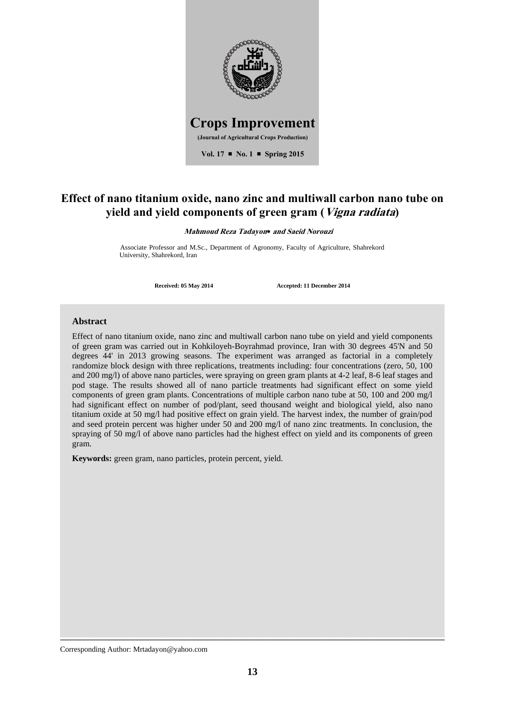

## **Effect of nano titanium oxide, nano zinc and multiwall carbon nano tube on yield and yield components of green gram (Vigna radiata)**

**Mahmoud Reza Tadayon\* and Saeid Norouzi** 

Associate Professor and M.Sc., Department of Agronomy, Faculty of Agriculture, Shahrekord University, Shahrekord, Iran

**Received: 05 May 2014 Accepted: 11 December 2014**

## **Abstract**

Effect of nano titanium oxide, nano zinc and multiwall carbon nano tube on yield and yield components of green gram was carried out in Kohkiloyeh-Boyrahmad province, Iran with 30 degrees 45'N and 50 degrees 44' in 2013 growing seasons. The experiment was arranged as factorial in a completely randomize block design with three replications, treatments including: four concentrations (zero, 50, 100 and 200 mg/l) of above nano particles, were spraying on green gram plants at 4-2 leaf, 8-6 leaf stages and pod stage. The results showed all of nano particle treatments had significant effect on some yield components of green gram plants. Concentrations of multiple carbon nano tube at 50, 100 and 200 mg/l had significant effect on number of pod/plant, seed thousand weight and biological yield, also nano titanium oxide at 50 mg/l had positive effect on grain yield. The harvest index, the number of grain/pod and seed protein percent was higher under 50 and 200 mg/l of nano zinc treatments. In conclusion, the spraying of 50 mg/l of above nano particles had the highest effect on yield and its components of green gram.

**Keywords:** green gram, nano particles, protein percent, yield.

Corresponding Author: Mrtadayon@yahoo.com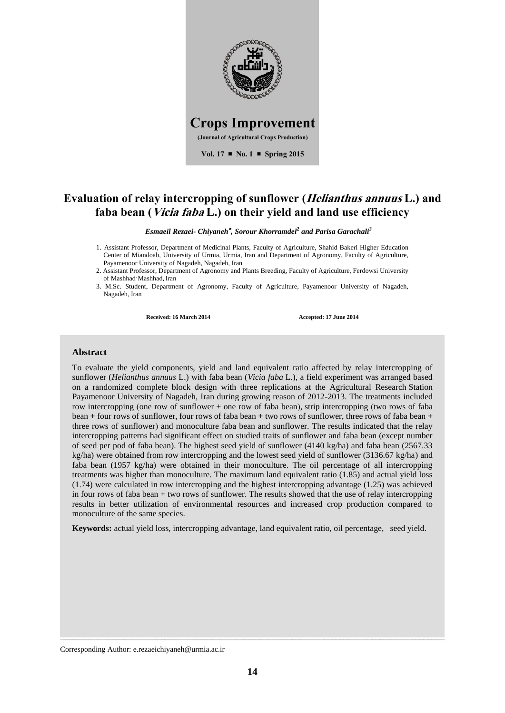

## **Evaluation of relay intercropping of sunflower (Helianthus annuus L.) and faba bean (Vicia faba L.) on their yield and land use efficiency**

*Esmaeil Rezaei- Chiyaneh , Sorour Khorramdel<sup>2</sup> and Parisa Garachali<sup>3</sup>*

1. Assistant Professor, Department of Medicinal Plants, Faculty of Agriculture, Shahid Bakeri Higher Education Center of Miandoab, University of Urmia, Urmia, Iran and Department of Agronomy, Faculty of Agriculture, Payamenoor University of Nagadeh, Nagadeh, Iran

2. Assistant Professor, Department of Agronomy and Plants Breeding, Faculty of Agriculture, Ferdowsi University of Mashhad Mashhad, Iran

3. M.Sc. Student, Department of Agronomy, Faculty of Agriculture, Payamenoor University of Nagadeh, Nagadeh, Iran

**Received: 16 March 2014 Accepted: 17 June 2014**

### **Abstract**

To evaluate the yield components, yield and land equivalent ratio affected by relay intercropping of sunflower (*Helianthus annuus* L.) with faba bean (*Vicia faba* L.), a field experiment was arranged based on a randomized complete block design with three replications at the Agricultural Research Station Payamenoor University of Nagadeh, Iran during growing reason of 2012-2013. The treatments included row intercropping (one row of sunflower + one row of faba bean), strip intercropping (two rows of faba bean + four rows of sunflower, four rows of faba bean + two rows of sunflower, three rows of faba bean + three rows of sunflower) and monoculture faba bean and sunflower. The results indicated that the relay intercropping patterns had significant effect on studied traits of sunflower and faba bean (except number of seed per pod of faba bean). The highest seed yield of sunflower (4140 kg/ha) and faba bean (2567.33 kg/ha) were obtained from row intercropping and the lowest seed yield of sunflower (3136.67 kg/ha) and faba bean (1957 kg/ha) were obtained in their monoculture. The oil percentage of all intercropping treatments was higher than monoculture. The maximum land equivalent ratio (1.85) and actual yield loss (1.74) were calculated in row intercropping and the highest intercropping advantage (1.25) was achieved in four rows of faba bean + two rows of sunflower. The results showed that the use of relay intercropping results in better utilization of environmental resources and increased crop production compared to monoculture of the same species.

**Keywords:** actual yield loss, intercropping advantage, land equivalent ratio, oil percentage, seed yield.

Corresponding Author: e.rezaeichiyaneh@urmia.ac.ir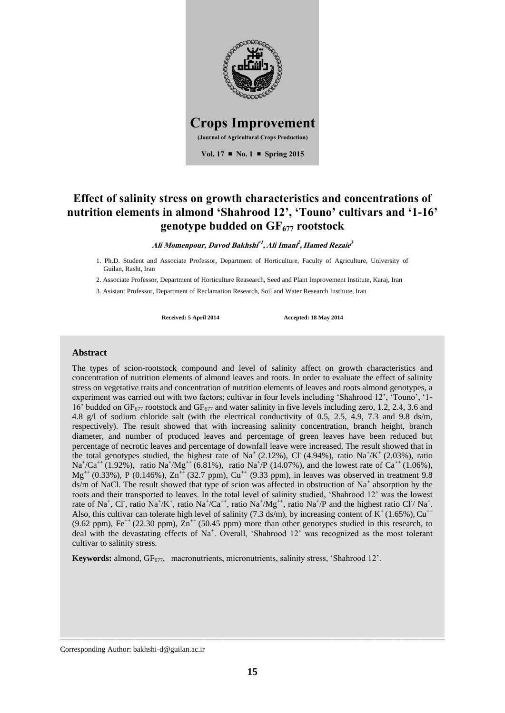

# **Effect of salinity stress on growth characteristics and concentrations of nutrition elements in almond 'Shahrood 12', 'Touno' cultivars and '1-16' genotype budded on GF<sup>677</sup> rootstock**

**Ali Momenpour, Davod Bakhshi 1 , Ali Imani 2 ,Hamed Rezaie 3**

1. Ph.D. Student and Associate Professor, Department of Horticulture, Faculty of Agriculture, University of Guilan, Rasht, Iran

2. Associate Professor, Department of Horticulture Reasearch, Seed and Plant Improvement Institute, Karaj, Iran

3. Asistant Professor, Department of Reclamation Research, Soil and Water Research Institute, Iran

**Received: 5 April 2014 Accepted: 18 May 2014**

### **Abstract**

The types of scion-rootstock compound and level of salinity affect on growth characteristics and concentration of nutrition elements of almond leaves and roots. In order to evaluate the effect of salinity stress on vegetative traits and concentration of nutrition elements of leaves and roots almond genotypes, a experiment was carried out with two factors; cultivar in four levels including 'Shahrood 12', 'Touno', '1- 16' budded on GF<sub>677</sub> rootstock and GF<sub>677</sub> and water salinity in five levels including zero, 1.2, 2.4, 3.6 and 4.8 g/l of sodium chloride salt (with the electrical conductivity of 0.5, 2.5, 4.9, 7.3 and 9.8 ds/m, respectively). The result showed that with increasing salinity concentration, branch height, branch diameter, and number of produced leaves and percentage of green leaves have been reduced but percentage of necrotic leaves and percentage of downfall leave were increased. The result showed that in the total genotypes studied, the highest rate of Na<sup>+</sup> (2.12%), Cl<sup>-</sup> (4.94%), ratio Na<sup>+</sup>/K<sup>+</sup> (2.03%), ratio  $\text{Na}^+\text{/Ca}^{++}$  (1.92%), ratio Na<sup>+</sup>/Mg<sup>++</sup> (6.81%), ratio Na<sup>+</sup>/P (14.07%), and the lowest rate of Ca<sup>++</sup> (1.06%),  $Mg^{++}$  (0.33%), P (0.146%),  $Zn^{++}$  (32.7 ppm),  $Cu^{++}$  (9.33 ppm), in leaves was observed in treatment 9.8 ds/m of NaCl. The result showed that type of scion was affected in obstruction of Na<sup>+</sup> absorption by the roots and their transported to leaves. In the total level of salinity studied, 'Shahrood 12' was the lowest rate of Na<sup>+</sup>, Cl<sup>-</sup>, ratio Na<sup>+</sup>/K<sup>+</sup>, ratio Na<sup>+</sup>/Ca<sup>++</sup>, ratio Na<sup>+</sup>/Mg<sup>++</sup>, ratio Na<sup>+</sup>/P and the highest ratio Cl<sup>-</sup>/ Na<sup>+</sup>. Also, this cultivar can tolerate high level of salinity (7.3 ds/m), by increasing content of  $K^+(1.65\%)$ ,  $Cu^{++}$  $(9.62 \text{ ppm})$ , Fe<sup>++</sup> (22.30 ppm), Zn<sup>++</sup> (50.45 ppm) more than other genotypes studied in this research, to deal with the devastating effects of Na<sup>+</sup>. Overall, 'Shahrood 12' was recognized as the most tolerant cultivar to salinity stress.

**Keywords:** almond, GF<sub>677</sub>, macronutrients, micronutrients, salinity stress, 'Shahrood 12'.

Corresponding Author: bakhshi-d@guilan.ac.ir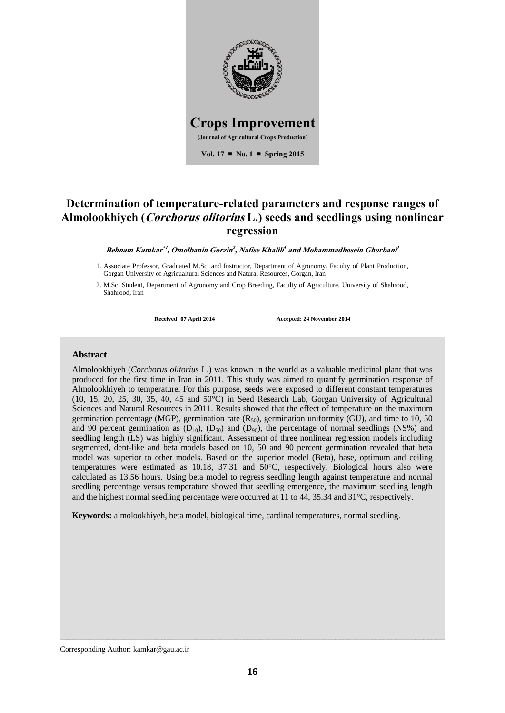

# **Determination of temperature-related parameters and response ranges of Almolookhiyeh (Corchorus olitorius L.) seeds and seedlings using nonlinear regression**

**Behnam Kamkar 1 , Omolbanin Gorzin 2 , Nafise Khalili 1 and Mohammadhosein Ghorbani 1**

- 1. Associate Professor, Graduated M.Sc. and Instructor, Department of Agronomy, Faculty of Plant Production, Gorgan University of Agricualtural Sciences and Natural Resources, Gorgan, Iran
- 2. M.Sc. Student, Department of Agronomy and Crop Breeding, Faculty of Agriculture, University of Shahrood, Shahrood, Iran

**Received: 07 April 2014 Accepted: 24 November 2014**

### **Abstract**

Almolookhiyeh (*Corchorus olitorius* L.) was known in the world as a valuable medicinal plant that was produced for the first time in Iran in 2011. This study was aimed to quantify germination response of Almolookhiyeh to temperature. For this purpose, seeds were exposed to different constant temperatures (10, 15, 20, 25, 30, 35, 40, 45 and 50°C) in Seed Research Lab, Gorgan University of Agricultural Sciences and Natural Resources in 2011. Results showed that the effect of temperature on the maximum germination percentage (MGP), germination rate  $(R_{50})$ , germination uniformity (GU), and time to 10, 50 and 90 percent germination as  $(D_{10})$ ,  $(D_{50})$  and  $(D_{90})$ , the percentage of normal seedlings (NS%) and seedling length (LS) was highly significant. Assessment of three nonlinear regression models including segmented, dent-like and beta models based on 10, 50 and 90 percent germination revealed that beta model was superior to other models. Based on the superior model (Beta), base, optimum and ceiling temperatures were estimated as 10.18, 37.31 and 50°C, respectively. Biological hours also were calculated as 13.56 hours. Using beta model to regress seedling length against temperature and normal seedling percentage versus temperature showed that seedling emergence, the maximum seedling length and the highest normal seedling percentage were occurred at 11 to 44, 35.34 and 31°C, respectively.

**Keywords:** almolookhiyeh, beta model, biological time, cardinal temperatures, normal seedling.

Corresponding Author: kamkar@gau.ac.ir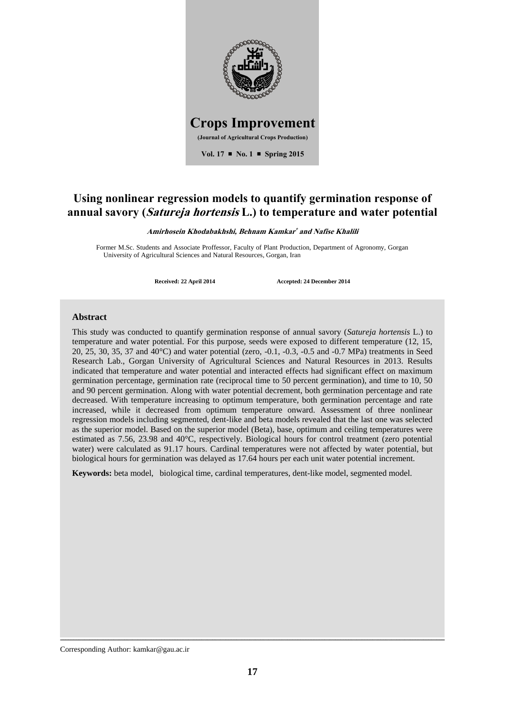

## **Using nonlinear regression models to quantify germination response of annual savory (Satureja hortensis L.) to temperature and water potential**

**Amirhosein Khodabakhshi, Behnam Kamkar and Nafise Khalili**

Former M.Sc. Students and Associate Proffessor, Faculty of Plant Production, Department of Agronomy, Gorgan University of Agricultural Sciences and Natural Resources, Gorgan, Iran

**Received: 22 April 2014 Accepted: 24 December 2014**

### **Abstract**

This study was conducted to quantify germination response of annual savory (*Satureja hortensis* L.) to temperature and water potential. For this purpose, seeds were exposed to different temperature (12, 15, 20, 25, 30, 35, 37 and 40°C) and water potential (zero, -0.1, -0.3, -0.5 and -0.7 MPa) treatments in Seed Research Lab., Gorgan University of Agricultural Sciences and Natural Resources in 2013. Results indicated that temperature and water potential and interacted effects had significant effect on maximum germination percentage, germination rate (reciprocal time to 50 percent germination), and time to 10, 50 and 90 percent germination. Along with water potential decrement, both germination percentage and rate decreased. With temperature increasing to optimum temperature, both germination percentage and rate increased, while it decreased from optimum temperature onward. Assessment of three nonlinear regression models including segmented, dent-like and beta models revealed that the last one was selected as the superior model. Based on the superior model (Beta), base, optimum and ceiling temperatures were estimated as 7.56, 23.98 and 40°C, respectively. Biological hours for control treatment (zero potential water) were calculated as 91.17 hours. Cardinal temperatures were not affected by water potential, but biological hours for germination was delayed as 17.64 hours per each unit water potential increment.

**Keywords:** beta model, biological time, cardinal temperatures, dent-like model, segmented model.

Corresponding Author: kamkar@gau.ac.ir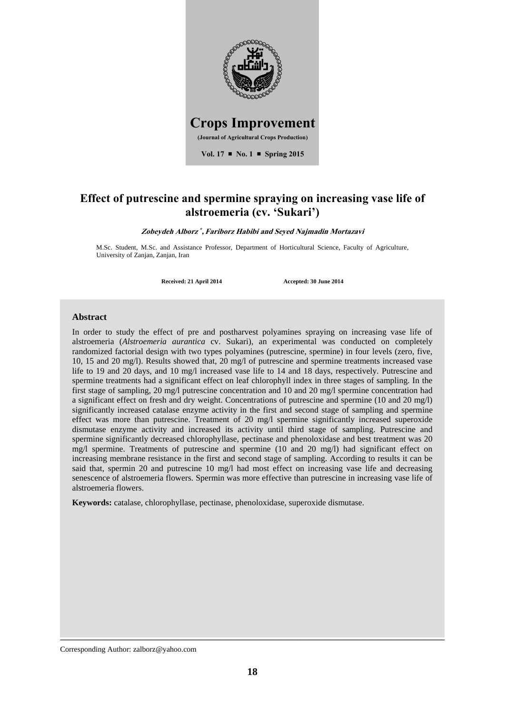

# **Effect of putrescine and spermine spraying on increasing vase life of alstroemeria (cv. 'Sukari')**

Zobeydeh Alborz<sup>\*</sup>, Fariborz Habibi and Seyed Najmadin Mortazavi

M.Sc. Student, M.Sc. and Assistance Professor, Department of Horticultural Science, Faculty of Agriculture, University of Zanjan, Zanjan, Iran

**Received: 21 April 2014 Accepted: 30 June 2014**

#### **Abstract**

In order to study the effect of pre and postharvest polyamines spraying on increasing vase life of alstroemeria (*Alstroemeria aurantica* cv. Sukari), an experimental was conducted on completely randomized factorial design with two types polyamines (putrescine, spermine) in four levels (zero, five, 10, 15 and 20 mg/l). Results showed that, 20 mg/l of putrescine and spermine treatments increased vase life to 19 and 20 days, and 10 mg/l increased vase life to 14 and 18 days, respectively. Putrescine and spermine treatments had a significant effect on leaf chlorophyll index in three stages of sampling. In the first stage of sampling, 20 mg/l putrescine concentration and 10 and 20 mg/l spermine concentration had a significant effect on fresh and dry weight. Concentrations of putrescine and spermine (10 and 20 mg/l) significantly increased catalase enzyme activity in the first and second stage of sampling and spermine effect was more than putrescine. Treatment of 20 mg/l spermine significantly increased superoxide dismutase enzyme activity and increased its activity until third stage of sampling. Putrescine and spermine significantly decreased chlorophyllase, pectinase and phenoloxidase and best treatment was 20 mg/l spermine. Treatments of putrescine and spermine (10 and 20 mg/l) had significant effect on increasing membrane resistance in the first and second stage of sampling. According to results it can be said that, spermin 20 and putrescine 10 mg/l had most effect on increasing vase life and decreasing senescence of alstroemeria flowers. Spermin was more effective than putrescine in increasing vase life of alstroemeria flowers.

**Keywords:** catalase, chlorophyllase, pectinase, phenoloxidase, superoxide dismutase.

Corresponding Author: zalborz@yahoo.com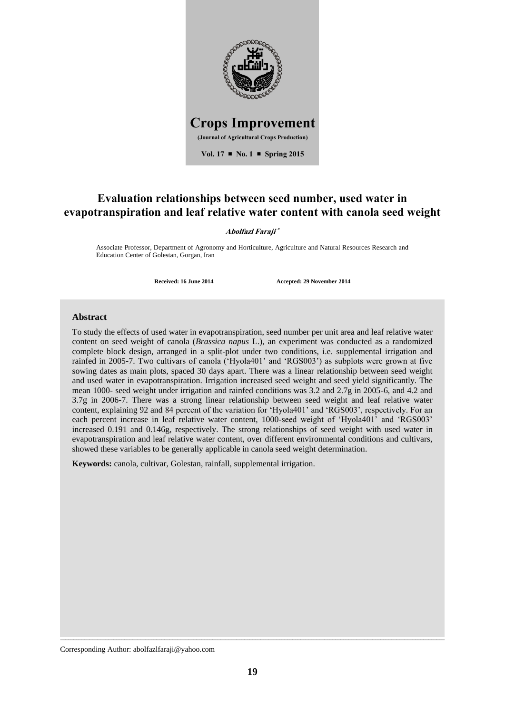

## **Evaluation relationships between seed number, used water in evapotranspiration and leaf relative water content with canola seed weight**

#### **Abolfazl Faraji**

Associate Professor, Department of Agronomy and Horticulture, Agriculture and Natural Resources Research and Education Center of Golestan, Gorgan, Iran

**Received: 16 June 2014 Accepted: 29 November 2014**

### **Abstract**

To study the effects of used water in evapotranspiration, seed number per unit area and leaf relative water content on seed weight of canola (*Brassica napus* L.), an experiment was conducted as a randomized complete block design, arranged in a split-plot under two conditions, i.e. supplemental irrigation and rainfed in 2005-7. Two cultivars of canola ('Hyola401' and 'RGS003') as subplots were grown at five sowing dates as main plots, spaced 30 days apart. There was a linear relationship between seed weight and used water in evapotranspiration. Irrigation increased seed weight and seed yield significantly. The mean 1000- seed weight under irrigation and rainfed conditions was 3.2 and 2.7g in 2005-6, and 4.2 and 3.7g in 2006-7. There was a strong linear relationship between seed weight and leaf relative water content, explaining 92 and 84 percent of the variation for 'Hyola401' and 'RGS003', respectively. For an each percent increase in leaf relative water content, 1000-seed weight of 'Hyola401' and 'RGS003' increased 0.191 and 0.146g, respectively. The strong relationships of seed weight with used water in evapotranspiration and leaf relative water content, over different environmental conditions and cultivars, showed these variables to be generally applicable in canola seed weight determination.

**Keywords:** canola, cultivar, Golestan, rainfall, supplemental irrigation.

Corresponding Author: abolfazlfaraji@yahoo.com